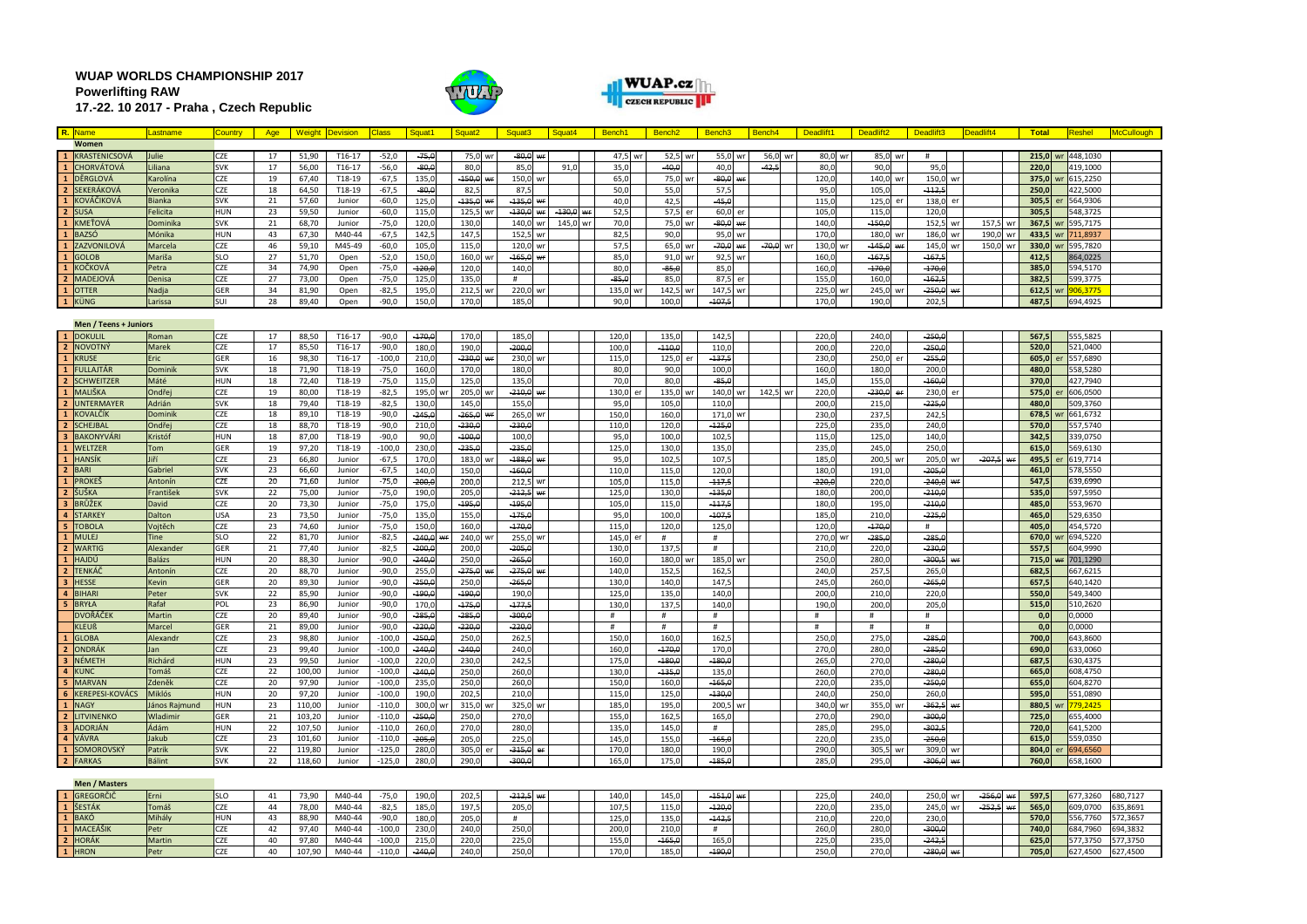**WUAP WORLDS CHAMPIONSHIP 2017 Powerlifting RAW 17.-22. 10 2017 - Praha , Czech Republic**





| R. Name                | Lastname                                                                                                                                                                                                                                                                                                                                                     | <b>Country</b>    | Age      |                | <b>Weight Devision</b> | <b>Class</b>       | Squat1            | Squat <sub>2</sub>    |    | Squat3            | Squat4   | Bench1        | Bench <sub>2</sub> | Bench <sub>3</sub> |    | Bench4     | Deadlift1  | Deadlift <sub>2</sub> |         | Deadlift3      | Deadlift4   | <b>Total</b>   |    | Reshel               | <b>AcCullough</b> |
|------------------------|--------------------------------------------------------------------------------------------------------------------------------------------------------------------------------------------------------------------------------------------------------------------------------------------------------------------------------------------------------------|-------------------|----------|----------------|------------------------|--------------------|-------------------|-----------------------|----|-------------------|----------|---------------|--------------------|--------------------|----|------------|------------|-----------------------|---------|----------------|-------------|----------------|----|----------------------|-------------------|
| Women                  |                                                                                                                                                                                                                                                                                                                                                              |                   |          |                |                        |                    |                   |                       |    |                   |          |               |                    |                    |    |            |            |                       |         |                |             |                |    |                      |                   |
| KRASTENICSOVÁ          | ulie                                                                                                                                                                                                                                                                                                                                                         | CZE               | 17       | 51,90          | T16-17                 | $-52,0$            | $-75,0$           | 75,0 wr               |    | 80,0<br>Wf        |          | 47,5          | 52,5               | 55,0 wr            |    | 56,0 wr    | 80,0       |                       | 85,0 wr | #              |             | 215,0 wr       |    | 448,1030             |                   |
| <b>CHORVÁTOVÁ</b>      | iliana                                                                                                                                                                                                                                                                                                                                                       | <b>SVK</b>        | 17       | 56,00          | $T16-17$               | $-56,0$            | $-80,0$           | 80.0                  |    | 85.0              | 91.0     | 35,0          | $-40,6$            | 40,0               |    | $-42.5$    | 80,        | 90.0                  |         | 95.            |             | 220,0          |    | 419,1000             |                   |
| L DĚRGLOVÁ             | <arolína< th=""><th>CZE</th><th>19</th><th>67,40</th><th>T18-19</th><th>-67,5</th><th>135,0</th><th>150,0</th><th></th><th>150,0<br/>W</th><th></th><th>65,0</th><th>75,0</th><th><math>-80,0</math></th><th></th><th></th><th>120,0</th><th>140,0</th><th>wr</th><th>150,0<br/>wr</th><th></th><th>375,0</th><th></th><th>615,2250</th><th></th></arolína<> | CZE               | 19       | 67,40          | T18-19                 | -67,5              | 135,0             | 150,0                 |    | 150,0<br>W        |          | 65,0          | 75,0               | $-80,0$            |    |            | 120,0      | 140,0                 | wr      | 150,0<br>wr    |             | 375,0          |    | 615,2250             |                   |
| SEKERÁKOVÁ             | Veronika                                                                                                                                                                                                                                                                                                                                                     | CZE               | 18       | 64,50          | T18-19                 | $-67,5$            | $-80,0$           | 82,5                  |    | 87,5              |          | 50,0          | 55,0               | 57,5               |    |            | 95,0       | 105,                  |         | $-112,$        |             | 250.0          |    | 422,5000             |                   |
| <b>KOVÁČIKOVÁ</b>      | <b>Bianka</b>                                                                                                                                                                                                                                                                                                                                                | <b>SVK</b>        | 21       | 57,60          | Junior                 | $-60,0$            | 125,0             | $-135,0$              | w  | $-135.0$          |          | 40,0          | 42,5               | $-45.0$            |    |            | 115.       | 125,0                 | er      | 138,0          |             | 305.5          | Pr | 564,9306             |                   |
| <b>SUSA</b>            | Felicita                                                                                                                                                                                                                                                                                                                                                     | HUN               | 23       | 59,50          | Junior                 | $-60.0$            | 115.0             | 125.5                 | w  | $-130.0$          | $-130.6$ | 52.5          | 57.5               | 60.0               | er |            | 105.       | 115.                  |         | 120.           |             | 305.5          |    | 548,3725             |                   |
| <b>KMEŤOVÁ</b>         | Dominika                                                                                                                                                                                                                                                                                                                                                     | <b>SVK</b>        | 21       | 68,70          | Junior                 | $-75,0$            | 120,0             | 130,0                 |    | 140,0<br>wr       | 145,0    | 70,0          | 75,0               | $-80,0$ wr         |    |            | 140,       | $-150,0$              |         | 152,5<br>wr    | 157,5       | 367,5 wr       |    | 595,7175             |                   |
| <b>BAZSÓ</b>           | Mónika                                                                                                                                                                                                                                                                                                                                                       | HUN               | 43       | 67,30          | M40-44                 | $-67,5$            | 142,5             | 147,5                 |    | 152,5<br>W        |          | 82,5          | 90.0               | 95,0               | wr |            | 170,       | 180,0                 | wr      | 186,0<br>wr    | 190,0<br>wr | 433,5          | wr | 711,8937             |                   |
| ZAZVONILOVÁ            | Marcela                                                                                                                                                                                                                                                                                                                                                      | CZE               | 46       | 59,10          | M45-49                 | $-60,0$            | 105,0             | 115,0                 |    | 120,0<br>wr       |          | 57,5          | 65,0               | $-70,0$ wr         |    | $-70,0$ wr | 130,       | $-145,0$              | ₩F      | 145,<br>wr     | 150,0<br>wr | 330,0 wr       |    | 595,7820             |                   |
| <b>GOLOB</b>           | Mariša                                                                                                                                                                                                                                                                                                                                                       | <b>SLO</b>        | 27       | 51,70          | Open                   | $-52,0$            | 150,0             | 160,0                 |    | $-165,0$<br>w     |          | 85,0          | 91(                | 92,5               | wr |            | 160,       | $-167.5$              |         | $-167$         |             | 412,5          |    | 864,0225             |                   |
| <b>KOČKOV</b>          | Petra                                                                                                                                                                                                                                                                                                                                                        | CZE               | 34       | 74,90          | Open                   | $-75,0$            | $-120,0$          | 120.0                 |    | 140.0             |          | 80.0          | $-85.6$            | 85.0               |    |            | 160.       | $-170.6$              |         | $-170.$        |             | 385,0          |    | 594,5170             |                   |
| <b>MADEJOV</b>         | <b>Denisa</b>                                                                                                                                                                                                                                                                                                                                                | CZE               | 27       | 73.00          | Open                   | $-75.0$            | 125.0             | 135.0                 |    | #                 |          | $-85.6$       | 85.0               | 87.5               | er |            | 155.       | 160.0                 |         | $-162.$        |             | 382.5          |    | 599.3775             |                   |
| <b>OTTER</b>           | Nadia                                                                                                                                                                                                                                                                                                                                                        | GER               | 34       | 81,90          | Open                   | $-82.5$            | 195,0             | 212,5                 | w  | 220,0             |          | 135.0         | 142.5              | 147.5              | wr |            | 225,       | 245.0                 | wr      | $-250.6$<br>wr |             | $612.5$ wr     |    | 06.3775              |                   |
| KÜNG                   | Larissa                                                                                                                                                                                                                                                                                                                                                      | SUI               | 28       | 89,40          | Open                   | $-90,0$            | 150,0             | 170,0                 |    | 185,0             |          | 90,0          | 100,0              | $-107,$            |    |            | 170,0      | 190,0                 |         | 202,5          |             | 487,5          |    | 594,4925             |                   |
| Men / Teens + Juniors  |                                                                                                                                                                                                                                                                                                                                                              |                   |          |                |                        |                    |                   |                       |    |                   |          |               |                    |                    |    |            |            |                       |         |                |             |                |    |                      |                   |
| DOKULIL                | Roman                                                                                                                                                                                                                                                                                                                                                        | CZE               | 17       | 88,50          | T16-17                 | $-90,0$            | $-170,0$          | 170,0                 |    | 185,0             |          | 120,0         | 135,0              | 142,5              |    |            | 220,0      | 240,0                 |         | $-250,6$       |             | 567,5          |    | 555,5825             |                   |
| 2 NOVOTNÝ              | Marek                                                                                                                                                                                                                                                                                                                                                        | <b>ZE</b>         | 17       | 85,50          | $T16-17$               | $-90,0$            | 180,0             | 190,0                 |    | $-200.6$          |          | 100,0         | $-110,6$           | 110,               |    |            | 200,       | 220,0                 |         | $-250.6$       |             | 520,0          |    | 521,0400             |                   |
| <b>KRUSE</b>           | iric:                                                                                                                                                                                                                                                                                                                                                        | GER               | 16       | 98,30          | T16-17                 | $-100,0$           | 210,0             | $-230,0$              |    | 230,0             |          | 115,          | 125,               | $-137,5$           |    |            | 230        | 250,                  |         | $-255,$        |             | 605,0          |    | 557,6890             |                   |
| FULLAJTÁR              | Dominik                                                                                                                                                                                                                                                                                                                                                      | <b>SVK</b>        | 18       | 71,90          | T18-19                 | $-75,0$            | 160,0             | 170,0                 |    | 180,0             |          | 80,0          | 90,0               | 100,               |    |            | 160,       | 180,                  |         | 200.           |             | 480,0          |    | 558,5280             |                   |
| <b>SCHWEITZER</b>      | Máté                                                                                                                                                                                                                                                                                                                                                         | HUN               | 18       | 72,40          | T18-19                 | $-75,0$            | 115,0             | 125,0                 |    | 135,0             |          | 70,0          | 80,0               | $-85,$             |    |            | 145,       | 155,                  |         | $-160,$        |             | 370,0          |    | 427,7940             |                   |
| MALIŠKA                | <b>Ondřej</b>                                                                                                                                                                                                                                                                                                                                                | ŻΕ                | 19       | 80,00          | T18-19                 | $-82,5$            | 195,0             | 205,0                 |    | $-210,0$          |          | 130,0         | 135,0              | 140,0              | wr | 142,5      | 220,<br>wr | $-230,0$              | er      | 230,0          |             | 575,0          |    | 606,0500             |                   |
| UNTERMAYER             | Adrián                                                                                                                                                                                                                                                                                                                                                       | <b>SVK</b>        | 18       | 79,40          | T18-19                 | $-82,5$            | 130,0             | 145,0                 |    | 155,0             |          | 95,           | 105,0              | 110,               |    |            | 200,       | 215,                  |         | $-225,$        |             | 480,0          |    | 509,3760             |                   |
| <b>KOVALČÍK</b>        | Dominik                                                                                                                                                                                                                                                                                                                                                      | CZE               | 18       | 89,10          | T18-19                 | $-90,0$            | $-245,0$          | 265,0                 |    | 265,0             |          | 150,0         | 160,0              | 171,0              |    |            | 230,       | 237,5                 |         | 242,           |             | 678,5          |    | 661,6732             |                   |
| <b>SCHEJBAL</b>        | Ondřej                                                                                                                                                                                                                                                                                                                                                       | CZE               | 18       | 88,70          | T18-19                 | $-90,0$            | 210,0             | $-230,0$              |    | $-230.6$          |          | 110,0         | 120,0              | $-125,$            |    |            | 225,       | 235,0                 |         | 240,           |             | 570,0          |    | 557,5740             |                   |
| <b>BAKONYVÁRI</b>      | <b>Cristóf</b>                                                                                                                                                                                                                                                                                                                                               | <b>HUN</b>        | 18       | 87,00          | T18-19                 | $-90,0$            | 90.0              | $-100.0$              |    | 100.0             |          | 95.0          | 100.0              | 102.5              |    |            | 115.       | 125.0                 |         | 140.           |             | 342,5          |    | 339,0750             |                   |
| WELTZER                | <b>Tom</b>                                                                                                                                                                                                                                                                                                                                                   | <b>GER</b>        | 19       | 97.20          | T18-19                 | $-100.0$           | 230,0             | $-235,0$              |    | $-235,6$          |          | 125,          | 130.0              | 135.               |    |            | 235.       | 245.                  |         | 250.           |             | 615.0          |    | 569,6130             |                   |
| HANSÍK                 | iří                                                                                                                                                                                                                                                                                                                                                          | CZE               | 23       | 66,80          | Junior                 | $-67,5$            | 170,0             | 183,0                 |    | $-188,0$          |          | 95,0          | 102,               | 107,               |    |            | 185,       | 200,5                 | wr      | 205,0          | $-207,5$    | 495,5          |    | 619,7714             |                   |
| <b>BARI</b>            | Gabriel                                                                                                                                                                                                                                                                                                                                                      | <b>SVK</b>        | 23       | 66,60          | Junior                 | $-67,5$            | 140,0             | 150,0                 |    | $-160,6$          |          | 110,0         | 115,               | 120,               |    |            | 180,       | 191,                  |         | $-205,$        |             | 461,0          |    | 578,5550             |                   |
| PROKEŠ                 | Antonín                                                                                                                                                                                                                                                                                                                                                      | CZE               | 20       | 71,60          | Junior                 | $-75,0$            | $-200,0$          | 200,0                 |    | 212,5             |          | 105,0         | 115,0              | $-117.5$           |    |            | $-220,0$   | 220,0                 |         | $-240,0$<br>wr |             | 547,5          |    | 539,6990             |                   |
| ŠUŠKA                  | František                                                                                                                                                                                                                                                                                                                                                    | <b>SVK</b>        | 22       | 75,00          | Junior                 | $-75,0$            | 190,0             | 205,0                 |    | $-212,5$          |          | 125.0         | 130.0              | $-135,6$           |    |            | 180,       | 200.0                 |         | $-210.$        |             | 535,0          |    | 597,5950             |                   |
| <b>BRŮŽEK</b>          | David                                                                                                                                                                                                                                                                                                                                                        | CZE               | 20       | 73,30          | Junior                 | $-75,0$            | 175,0             | $-195.0$              |    | $-195.6$          |          | 105.0         | 115.0              | $-117.5$           |    |            | 180.       | 195.0                 |         | $-210.6$       |             | 485.0          |    | 553.9670             |                   |
| <b>STARKEY</b>         | <b>Dalton</b>                                                                                                                                                                                                                                                                                                                                                | USA               | 23       | 73,50          | Junior                 | $-75,0$            | 135,0             | 155,0                 |    | $-175,6$          |          | 95,0          | 100(               | $-107,$            |    |            | 185,       | 210,0                 |         | $-225,$        |             | 465,0          |    | 529,6350             |                   |
| <b>TOBOLA</b>          | <b>Vojtěch</b>                                                                                                                                                                                                                                                                                                                                               | CZE               | 23       | 74,60          | Junior                 | $-75,0$            | 150,0             | 160,0                 |    | $-170,0$          |          | 115,0         | 120,0              | 125,               |    |            | 120,0      | $-170,0$              |         | #              |             | 405,0          |    | 454,5720             |                   |
| <b>MULEJ</b>           | <b>Tine</b>                                                                                                                                                                                                                                                                                                                                                  | <b>SLO</b>        | 22       | 81,70          | Junior                 | $-82,5$            | $-240,0$          | 240,0                 |    | 255,0             |          | 145,          | #                  | $\#$               |    |            | 270,       | $-285,$               |         | $-285,$        |             | 670,0          |    | 694,5220             |                   |
| <b>WARTIG</b>          | Alexander                                                                                                                                                                                                                                                                                                                                                    | GER               | 21       | 77,40          | Junior                 | $-82,5$            | $-200,0$          | 200,0                 |    | $-205,6$          |          | 130.          | 137,               | #                  |    |            | 210,       | 220,0                 |         | $-230.$        |             | 557,5          |    | 604,9990             |                   |
| HAJDÚ                  | <b>Balázs</b>                                                                                                                                                                                                                                                                                                                                                | HUN               | 20       | 88.30          | Junior                 | $-90.0$            | $-240,0$          | 250,0                 |    | $-265.6$          |          | 160,          | 180.0              | 185,               |    |            | 250,       | 280.                  |         | $-300.$        |             | 715,0          |    | 701,1290             |                   |
| TENKÁČ                 | Antonín                                                                                                                                                                                                                                                                                                                                                      | CZE               | 20       | 88,70          | Junior                 | -90,0              | 255,0             | $-275,0$              |    | $-275,0$          |          | 140,0         | 152,               | 162,               |    |            | 240,0      | 257,5                 |         | 265,           |             | 682,5          |    | 667,6215             |                   |
| <b>HESSE</b>           | Kevin                                                                                                                                                                                                                                                                                                                                                        | GER               | 20       | 89,30          | Junior                 | $-90,0$            | $-250,0$          | 250,0                 |    | $-265,6$          |          | 130,0         | 140,               | 147,               |    |            | 245,       | 260,                  |         | $-265,$        |             | 657,5          |    | 640,1420             |                   |
| BIHARI<br><b>BRYŁA</b> | Peter<br>Rafał                                                                                                                                                                                                                                                                                                                                               | <b>SVK</b><br>POL | 22<br>23 | 85,90<br>86,90 | Junior<br>Junior       | $-90,0$<br>$-90,0$ | $-190.0$<br>170,0 | $-190.0$<br>$-175, 6$ |    | 190.0<br>$-177,5$ |          | 125.<br>130,0 | 135.0              | 140.<br>140,       |    |            | 200.1      | 210.0                 |         | 220.<br>205,   |             | 550,0<br>515,0 |    | 549,3400<br>510,2620 |                   |
| DVOŘÁČEI               | Martin                                                                                                                                                                                                                                                                                                                                                       | CZE               | 20       | 89,40          | Junior                 | $-90,0$            | $-285,0$          | $-285,0$              |    | $-300.6$          |          | #             | 137,<br>#          | #                  |    |            | 190,<br>#  | 200,0<br>#            |         | #              |             | 0,0            |    | ,0000                |                   |
| <b>KLEUß</b>           | Marcel                                                                                                                                                                                                                                                                                                                                                       | <b>GER</b>        | 21       | 89,00          | Junior                 | $-90,0$            | $-220,0$          | $-220,0$              |    | $-220,6$          |          | #             | #                  | #                  |    |            | #          | #                     |         | #              |             | 0,0            |    | 0,0000               |                   |
| <b>GLOBA</b>           | Alexand                                                                                                                                                                                                                                                                                                                                                      | CZE               | 23       | 98,80          | Junior                 | $-100,0$           | $-250,0$          | 250,0                 |    | 262,              |          | 150,          | 160,               | 162,               |    |            | 250,       | 275,                  |         | $-285,$        |             | 700,0          |    | 643,8600             |                   |
| ONDRÁI                 | lan                                                                                                                                                                                                                                                                                                                                                          | CZE               | 23       | 99,40          | Junior                 | $-100.0$           | $-240.6$          | $-240.0$              |    | 240.0             |          | 160.          | $-170.6$           | 170.               |    |            | 270.       | 280.                  |         | $-285.$        |             | 690,0          |    | 633,0060             |                   |
| NÉMETH                 | Richárd                                                                                                                                                                                                                                                                                                                                                      | HUN               | 23       | 99,50          | Junior                 | $-100,0$           | 220.0             | 230.0                 |    | 242.              |          | 175.0         | $-180.6$           | $-180.6$           |    |            | 265.1      | 270.0                 |         | $-280.$        |             | 687,5          |    | 630,4375             |                   |
| <b>KUNC</b>            | <b>Tomáš</b>                                                                                                                                                                                                                                                                                                                                                 | CZE               | 22       | 100.00         | Junior                 | $-100.0$           | $-240.0$          | 250.0                 |    | 260.0             |          | 130.          | $-135.6$           | 135.0              |    |            | 260.       | 270.0                 |         | $-280.$        |             | 665.0          |    | 608.4750             |                   |
| <b>MARVAN</b>          | Zdeněk                                                                                                                                                                                                                                                                                                                                                       | CZE               | 20       | 97,90          | Junior                 | $-100,0$           | 235,0             | 250,0                 |    | 260,0             |          | 150,0         | 160,               | $-165, 6$          |    |            | 220,       | 235,0                 |         | $-250,$        |             | 655,0          |    | 604,8270             |                   |
| <b>KEREPESI-KOVÁCS</b> | Miklós                                                                                                                                                                                                                                                                                                                                                       | HUN               | 20       | 97,20          | Junior                 | $-100,0$           | 190,0             | 202,5                 |    | 210,0             |          | 115,          | 125,0              | $-130,$            |    |            | 240,       | 250,0                 |         | 260,           |             | 595,0          |    | 551,0890             |                   |
| <b>NAGY</b>            | lános Rajmund                                                                                                                                                                                                                                                                                                                                                | HUN               | 23       | 110,00         | Junior                 | $-110,0$           | 300,0             | 315,0                 |    | 325,0             |          | 185,          | 195.               | 200.5              | W  |            | 340.       | 355,0                 | wr      | $-362,$        |             | 880,5          | wr | 79,2425              |                   |
| <b>LITVINENKO</b>      | Wladimi                                                                                                                                                                                                                                                                                                                                                      | GER               | 21       | 103,20         | Junior                 | $-110,0$           | $-250,0$          | 250.0                 |    | 270.0             |          | 155,          | 162.               | 165.               |    |            | 270.       | 290.0                 |         | $-300.$        |             | 725,0          |    | 555,4000             |                   |
| ADORJÁN                | Ádám                                                                                                                                                                                                                                                                                                                                                         | <b>IUN</b>        | 22       | 107.50         | Junior                 | $-110.0$           | 260.0             | 270.0                 |    | 280.0             |          | 135.          | 145.0              | #                  |    |            | 285.       | 295.0                 |         | $-302.$        |             | 720.0          |    | 641.5200             |                   |
| 4 VÁVRA                | Jakub                                                                                                                                                                                                                                                                                                                                                        | CZE               | 23       | 101.60         | Junior                 | $-110.0$           | $-205,6$          | 205.0                 |    | 225.0             |          | 145.          | 155.0              | $-165.$            |    |            | 220.       | 235.0                 |         | $-250.$        |             | 615.0          |    | 559.0350             |                   |
| 1 SOMOROVSKÝ           | Patrik                                                                                                                                                                                                                                                                                                                                                       | <b>SVK</b>        | 22       | 119,80         | Junior                 | $-125.0$           | 280,0             | 305,0                 | er | $-315.0$          |          | 170.          | 180.               | 190.               |    |            | 290.       | 305.5                 | wr      | 309.<br>wr     |             | 804.0          |    | 694.6560             |                   |
| <b>FARKAS</b>          | <b>Bálint</b>                                                                                                                                                                                                                                                                                                                                                | <b>SVK</b>        | 22       | 118,60         | Junior                 | $-125,0$           | 280,0             | 290,0                 |    | $-300.6$          |          | 165,0         | 175,               | $-185,6$           |    |            | 285,       | 295,                  |         | $-306,6$<br>₩F |             | 760,0          |    | 558,1600             |                   |
| Men / Masters          |                                                                                                                                                                                                                                                                                                                                                              |                   |          |                |                        |                    |                   |                       |    |                   |          |               |                    |                    |    |            |            |                       |         |                |             |                |    |                      |                   |

| GREGORČIČ       | Erni          |    | חם די | M40-44 | $\overline{ }$<br>-75,6 | 190,0    | 202,5 | $-212.5$ wr  | 140,0 | 145,0 | $-151,0$ | 225,0 | 240,0 |          |                       | 597,5 | 677,3260  | 680,7127 |
|-----------------|---------------|----|-------|--------|-------------------------|----------|-------|--------------|-------|-------|----------|-------|-------|----------|-----------------------|-------|-----------|----------|
| <b>1</b> ŠESTÁK | Tomáš         | 44 | /8,00 | M40-44 | $-82,5$                 | 185,0    | 197,5 | <b>205,0</b> |       | 115,0 | $-120,0$ | 220,0 | 235,0 | 245,0    | -252,5   <del>w</del> | 565,0 | 609,0700  | 635,8691 |
| 1 BAKÓ          | Mihál         |    | 88.90 | M40-44 | $-90,0$                 | 180,0    | 205,0 |              | 125.0 | 135.0 | $-142.$  |       | 220.0 | 230,0    |                       | 570,0 | 1556,7760 | 572,3657 |
| MACEÁŠIK        | Petr          |    | 97 40 | M40-44 | $-100,0$                | 230,0    | 240,0 | 250,0        | 200.0 | 210.0 |          | 260.0 | 280,0 | $-300,0$ |                       | 740,0 | 684,7960  | 694,3832 |
| 2 HORÁK         | <b>Martin</b> | 40 | 97.80 | M40-44 | .100(                   | 215,0    | 220,0 | 225,0        | 155.0 | 465,  | 165,0    | 225.0 | 235,0 | $-242.1$ |                       | 625,0 | 577,3750  | 577,3750 |
| 1 HRON          | Petr          | 40 |       | M40-44 | $-110,0$                | $-240,0$ | 240.0 | 250,0        |       | 185,0 | $-190,6$ | 250,0 | 270,0 | 280,0 w  |                       | 705,0 | 627,4500  | 627,4500 |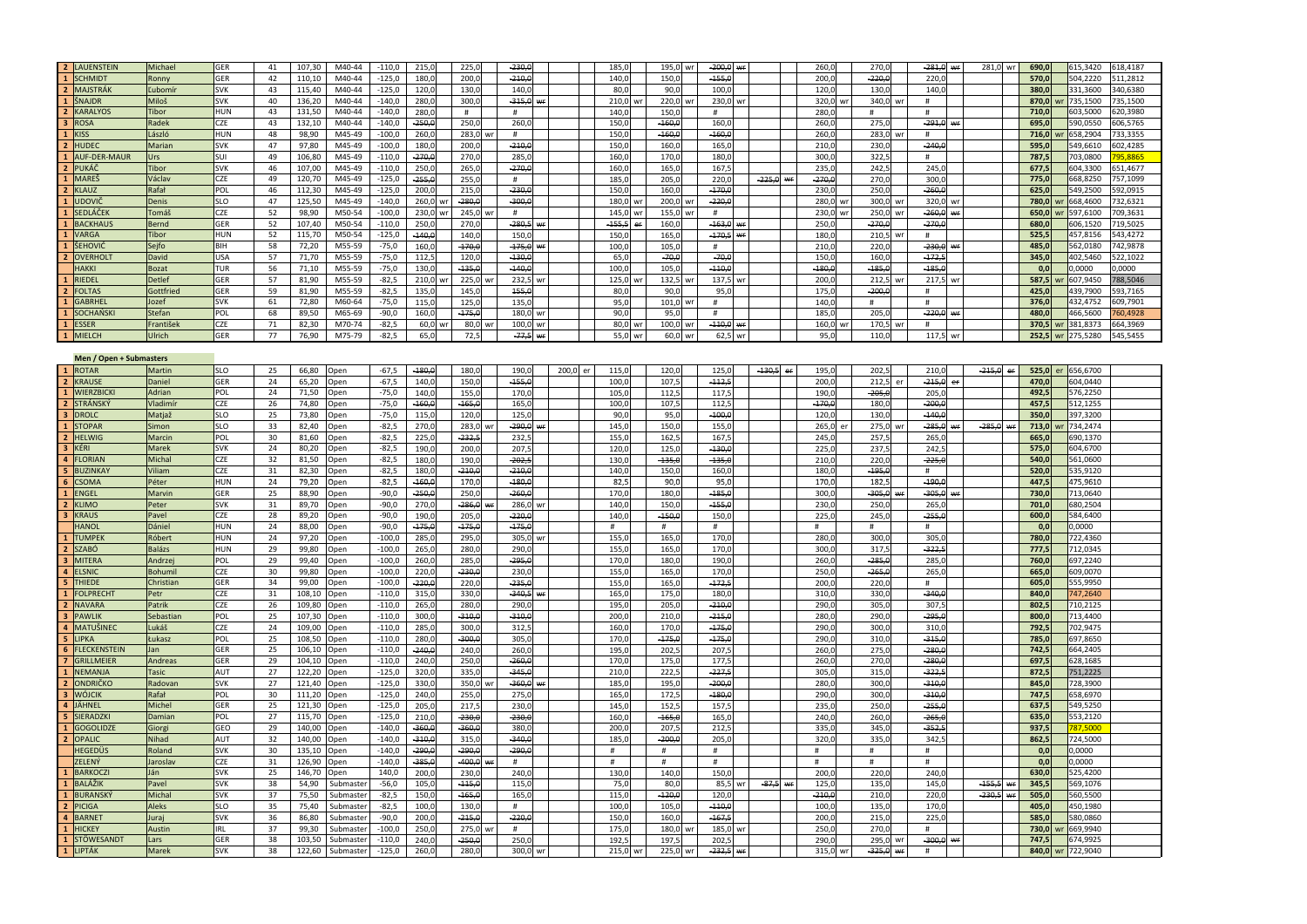|                          | 2 LAUENSTEIN                | Michael         | GER        | 41       | 107,30 | M40-44               | $-110,0$             | 215,0          | 225,0           | $-230,0$      |          | 185,0            | 195,0 wr                      | $-200,0$ wr |             |   | 260,0            | 270,0                |                   | $-281,0$ wr | 281,0 wr    | 690,0          | 515,3420             | 618,4187 |
|--------------------------|-----------------------------|-----------------|------------|----------|--------|----------------------|----------------------|----------------|-----------------|---------------|----------|------------------|-------------------------------|-------------|-------------|---|------------------|----------------------|-------------------|-------------|-------------|----------------|----------------------|----------|
|                          | 1 SCHMIDT                   | Ronny           | GER        | 42       | 110,10 | M40-44               | $-125,0$             | 180,0          | 200,0           | $-210,6$      |          | 140,0            | 150,0<br>$-155,0$             |             |             |   | 200,0            | $-220,0$             | 220,0             |             |             | 570,0          | 504,2220             | 11,2812  |
|                          | 2 MAJSTRÁK                  | Ľubomí          | <b>SVK</b> | 43       | 115.40 | M40-44               | $-125.0$             | 120,0          | 130.0           | 140.          |          | 80.0             | 90.0<br>100.                  |             |             |   | 120.             | 130.                 | 140.              |             |             | 380,0          | 331.3600             | 40.6380  |
|                          | 1 ŠNAJDR                    | Miloš           | <b>SVK</b> | 40       | 136,20 | M40-44               | $-140,0$             | 280.0          | 300.            | $-315.6$      |          | 210.0            | 230.<br>220.0                 |             |             |   | 320.0            | 340.                 |                   |             |             | 870,0          | 735,1500             | 35,1500  |
|                          |                             |                 |            |          |        |                      |                      |                |                 |               |          |                  |                               |             |             |   |                  |                      | #                 |             |             |                |                      |          |
| $\overline{2}$           | <b>KARALYOS</b>             | <b>Tibor</b>    | <b>HUN</b> | 43       | 131,50 | M40-44               | $-140,0$             | 280,0          | #               | #             |          | 140,0            | 150.<br>#                     |             |             |   | 280,             | $\pmb{\mathrm{H}}$   | $\pm$             |             |             | 710,           | 03,5000              | 20.3980  |
| $\overline{\mathbf{3}}$  | <b>ROSA</b>                 | Radek           | CZE        | 43       | 132,10 | M40-44               | $-140,0$             | $-250,0$       | 250,0           | 260,          |          | 150,0            | 160,0<br>160,0                |             |             |   | 260,0            | 275,                 | $-291,0$          |             |             | 695,0          | 590,0550             | 06,5765  |
|                          | <b>KISS</b>                 | László          | <b>HUN</b> | 48       | 98,90  | M45-49               | $-100,0$             | 260,0          | 283,0           | $\#$          |          | 150,0            | $-160, 6$<br>$-160,$          |             |             |   | 260,             | 283,0                | #                 |             |             | 716,0          | 558,2904             | 33,3355  |
|                          | <b>HUDEC</b>                | Marian          | <b>SVK</b> | 47       | 97.80  | M45-49               | $-100.0$             | 180,0          | 200.0           | $-210,$       |          | 150.0            | 160,0<br>165,                 |             |             |   | 210,             | 230,                 | $-240,$           |             |             | 595,0          | 549.6610             | 02,4285  |
| $\mathbf{1}$             | <b>AUF-DER-MAUR</b>         | Jrs             | SUI        | 49       | 106,80 | M45-49               | $-110,0$             | 270,0          | 270.0           | 285.          |          | 160,0            | 170.0<br>180.0                |             |             |   | 300.0            | 322,                 | #                 |             |             | 787,5          | 703,0800             | 5.8865   |
| $\overline{2}$           | PUKÁČ                       | Tibor           | <b>SVK</b> | 46       | 107.00 | M45-49               | $-110,0$             | 250,0          | 265,0           | 270,          |          | 160,0            | 165,0<br>167,                 |             |             |   | 235,0            | 242,                 | 245,0             |             |             | 677.5          | 604,3300             | 51,4677  |
| $\mathbf{1}$             | <b>MAREŠ</b>                |                 |            | 49       | 120,70 | M45-49               | $-125,0$             | $-255,0$       | 255,0           | #             |          | 185,0            | 220,0                         |             | $-225,0$    | w | 270,6            | 270,0                | 300,0             |             |             | 775,0          | 668,8250             | 57,1099  |
|                          |                             | Václav          | CZE        |          |        |                      |                      |                |                 |               |          |                  | 205,0                         |             |             |   |                  |                      |                   |             |             |                |                      |          |
| $\overline{2}$           | KLAUZ                       | Rafał           | POL        | 46       | 112,30 | M45-49               | $-125,0$             | 200,0          | 215,0           | $-230,6$      |          | 150,0            | 160,0<br>$-170,0$             |             |             |   | 230,0            | 250,0                | $-260,6$          |             |             | 625,0          | 549,2500             | 92,0915  |
| $\mathbf{1}$             | <b>UDOVI</b>                | Denis           | SLO.       | 47       | 125.50 | M45-49               | $-140,0$             | 260,0          | $-280,0$        | -300.4        |          | 180.0            | $-220.0$<br>200.0             |             |             |   | 280.0            | 300,0                | 320,0             |             |             | 780,0          | 668.4600             | 32,6321  |
| $\mathbf{1}$             | <b>SEDLÁČEI</b>             | Tomáš           | CZE        | 52       | 98,90  | M50-54               | $-100,0$             | 230.0          | 245,0           | $^{\rm \#}$   |          | 145,0            | 155.0 w<br>#                  |             |             |   | 230.0            | 250.0                | $-260.6$          |             |             | 650,0          | 597,6100             | 09,3631  |
| $\mathbf{1}$             | <b>BACKHAUS</b>             | Bernd           | GER        | 52       | 107,40 | M50-54               | $-110,0$             | 250,0          | 270,0           | 280,5         |          | $-155,5$         | 163,0<br>160,0                |             |             |   | 250,             | $-270,6$             | 270,6             |             |             | 680,0          | 606,1520             | 19,5025  |
| $\mathbf{1}$             | <b>VARGA</b>                | Tibor           | HUN        | 52       | 115,70 | M50-54               | $-125,0$             | 140,0          | 140,0           | 150,0         |          | 150,0            | 165,0<br>$-170,5$             |             |             |   | 180,0            | 210,5                | #                 |             |             | 525,5          | 457,8156             | 43,4272  |
|                          | ŠEHOVIĆ                     | Sejfo           | BIH        | 58       | 72,20  | M55-59               | $-75,0$              | 160,0          | 170,0           | $-175,0$      |          | 100,0            | 105,0<br>#                    |             |             |   | 210,0            | 220,0                | $-230,0$          |             |             | 485,0          | 562,0180             | 42,9878  |
|                          | OVERHOL                     | <b>David</b>    | <b>USA</b> | 57       | 71,70  | M55-59               | $-75,0$              | 112,5          | 120,0           | $-130,$       |          | 65,0             | $-70,0$<br>$-70,$             |             |             |   | 150,             | 160,0                | $-172$            |             |             | 345,0          | 402,5460             | 22,1022  |
|                          | <b>HAKKI</b>                | <b>Bozat</b>    | <b>TUR</b> | 56       | 71,10  | M55-59               | $-75,0$              | 130.0          | $-135.6$        | $-140.6$      |          | 100 <sub>1</sub> | $-110.6$                      |             |             |   | $-180.6$         | $-185, 6$            | $-185.6$          |             |             | 0,0            | 0,0000               | ,0000    |
|                          |                             |                 |            |          |        |                      |                      |                |                 |               |          |                  | 105,0                         |             |             |   |                  |                      |                   |             |             |                |                      |          |
|                          | RIEDEL                      | Detlef          | <b>GER</b> | 57       | 81,90  | M55-59               | $-82,5$              | 210,0          | 225,0           | 232,5         |          | 125,0            | 137,5<br>132,5                |             |             |   | 200(             | 212,5                | 217,5             |             |             | 587,5          | 607,9450             | 88,5046  |
| $\overline{2}$           | <b>FOLTAS</b>               | Gottfried       | GER        | 59       | 81,90  | M55-59               | $-82,5$              | 135,0          | 145,0           | 455,6         |          | 80,0             | 95,0<br>90.0                  |             |             |   | 175,0            | $-200,0$             | #                 |             |             | 425,0          | 439,7900             | 93,7165  |
|                          | 1 GABRHEL                   | Jozef           | <b>SVK</b> | 61       | 72,80  | M60-64               | $-75,0$              | 115,0          | 125,0           | 135,0         |          | 95,0             | 101,0<br>#                    |             |             |   | 140,0            | #                    | #                 |             |             | 376,0          | 432,4752             | 609,7901 |
| $\mathbf{1}$             | <b>SOCHAŃSKI</b>            | Stefan          | POL        | 68       | 89,50  | M65-69               | $-90,0$              | 160,0          | $-175,0$        | 180.0         |          | 90.0             | 95.0<br>$\pmb{\mathrm{H}}$    |             |             |   | 185.0            | 205,                 | $-220,0$          |             |             | 480,0          | 166.5600             | 50,4928  |
|                          | 1 ESSER                     | Františel       | CZE        | 71       | 82,30  | M70-74               | $-82,5$              | 60,0           | 80,             | 100.0         |          | 80,0             | $-110,6$<br>$100.0 \text{ w}$ |             |             |   | 160,0            | 170,<br>WI           | $\sharp$          |             |             | 370,5          | 381,8373             | 64,3969  |
|                          | 1 MIELCH                    | Ulrich          | <b>GER</b> | 77       | 76,90  | M75-79               | $-82,5$              | 65,0           | 72,5            | $-77.5$       |          | 55,0             | 60,0 wr<br>62,5               |             |             |   | 95,0             | 110,0                | 117,5             | wr          |             | 252,5          | 275,5280<br>wr       | 545.5455 |
|                          |                             |                 |            |          |        |                      |                      |                |                 |               |          |                  |                               |             |             |   |                  |                      |                   |             |             |                |                      |          |
|                          | Men / Open + Submasters     |                 |            |          |        |                      |                      |                |                 |               |          |                  |                               |             |             |   |                  |                      |                   |             |             |                |                      |          |
|                          | <b>ROTAR</b>                |                 |            |          |        |                      |                      |                |                 |               |          |                  |                               |             |             |   |                  |                      |                   |             |             |                |                      |          |
|                          |                             | Martin          | SLO        | 25       | 66,80  | Open                 | $-67,5$              | $-180,0$       | 180,0           | 190,0         | 200,0 er | 115,0            | 120,0<br>125,0                |             | $-130,5$ er |   | 195,0            | 202,5                | 210,0             |             | $-215,0$ er | 525,0 er       | 656,6700             |          |
| $\overline{2}$           | <b>KRAUSE</b>               | Daniel          | GER        | 24       | 65,20  | Open                 | $-67,5$              | 140,0          | 150,0           | $-155,6$      |          | 100(             | $-112,5$<br>107,5             |             |             |   | 200,0            | 212,5<br>er          | $-215,0$          |             |             | 470,0          | 604,0440             |          |
| $\mathbf{1}$             | <b>WIERZBICKI</b>           | Adrian          | POL        | 24       | 71,50  | Open                 | $-75,0$              | 140,0          | 155,0           | 170.0         |          | 105.0            | 112.5<br>117,5                |             |             |   | 190.0            | $-205.6$             | 205,0             |             |             | 492.5          | 576,2250             |          |
| $\overline{2}$           | <b>STRÁNSKÝ</b>             | Vladimí         | CZE        | 26       | 74,80  | Open                 | $-75,0$              | 160,0          | 165,0           | 165,          |          | 100,0            | 107,5<br>112.5                |             |             |   | 170,0            | 180,0                | $-200,6$          |             |             | 457,5          | 512,1255             |          |
| $\overline{3}$           | <b>DROLC</b>                | Matjaž          | <b>SLO</b> | 25       | 73,80  | Open                 | $-75,0$              | 115,0          | 120,0           | 125.          |          | 90,0             | 95.0<br>$-100.6$              |             |             |   | 120.0            | 130.0                | $-140.6$          |             |             | 350.0          | 397,3200             |          |
| $\overline{1}$           | <b>STOPAR</b>               | Simon           | S1O        | 33       | 82,40  | Open                 | $-82,5$              | 270,0          | 283,0           | $-290,0$      |          | 145,0            | 155,<br>150,0                 |             |             |   | 265,0            | 275,0                | $-285,0$          |             | $-285.0$    | 713,0          | 734,2474             |          |
| $\overline{2}$           | <b>HELWIG</b>               | Marcin          | POL        | 30       | 81,60  | Open                 | $-82,5$              | 225,0          | $-232,5$        | 232,          |          | 155 <sub>1</sub> | 162,5<br>167,                 |             |             |   | 245,0            | 257,                 | 265,              |             |             | 665,0          | 690,1370             |          |
|                          |                             |                 | <b>SVK</b> |          |        |                      |                      |                |                 |               |          |                  |                               |             |             |   |                  |                      |                   |             |             |                |                      |          |
|                          | KÉRI                        | Marek           |            | 24       | 80,20  | Open                 | $-82,5$              | 190,0          | 200,0           | 207,          |          | 120,0            | 125,0<br>$-130,0$             |             |             |   | 225,0            | 237,                 | 242,              |             |             | 575,0          | 604,6700             |          |
| $\overline{a}$           | <b>FLORIAN</b>              | Michal          | CZE        | 32       | 81,50  | Open                 | $-82,5$              | 180,0          | 190,0           | $-202,$       |          | 130,0            | $-135,6$<br>$-135,0$          |             |             |   | 210,0            | 220,0                | $-225,6$          |             |             | 540,0          | 561,0600             |          |
| 5                        | <b>BUZINKAY</b>             | /iliam          | CZE        | 31       | 82,30  | <b>Open</b>          | $-82,5$              | 180.0          | $-210.6$        | $-210.$       |          | 140,0            | 150.0<br>160,0                |             |             |   | 180.             | $-195,6$             | #                 |             |             | 520,0          | 35,9120              |          |
| 6 <sup>1</sup>           | <b>CSOMA</b>                | Péter           | <b>HUN</b> | 24       | 79,20  | Open                 | $-82,5$              | .160,0         | 170,0           | $-180,$       |          | 82,5             | 90,0<br>95,0                  |             |             |   | 170,0            | 182,                 | $-190,0$          |             |             | 447,5          | 175,9610             |          |
| $\mathbf{1}$             | <b>ENGEL</b>                | Marvin          | GER        | 25       | 88,90  | Open                 | $-90,0$              | 250,0          | 250,0           | $-260, 6$     |          | 170,0            | 180,0<br>185,0                |             |             |   | 300(             | $-305,6$             | $-305,6$          |             |             | 730,0          | 713,0640             |          |
| $\overline{2}$           | <b>KLIMO</b>                | Peter           | <b>SVK</b> | 31       | 89,70  | Open                 | $-90,0$              | 270.0          | 286.0           | 286.0         |          | 140.0            | $-155.6$<br>150.0             |             |             |   | 230.             | 250,                 | 265,0             |             |             | 701,0          | 680,2504             |          |
| $\overline{3}$           | <b>KRAUS</b>                | Pavel           | CZE        | 28       | 89,20  | Open                 | $-90,0$              | 190,0          | 205,0           | $-220,6$      |          | 140,0            | 150,0<br>150,0                |             |             |   | 225,0            | 245,                 | $-255,6$          |             |             | 600,0          | 584,6400             |          |
|                          | <b>HANOL</b>                | Dániel          | <b>HUN</b> | 24       | 88,00  | Open                 | $-90,0$              | $-175,0$       | $-175.$         | $-175.$       |          | $\#$             | #<br>#                        |             |             |   | #                | #                    | #                 |             |             | 0.0            | 0.0000               |          |
| $\mathbf{1}$             | <b>TUMPEK</b>               | Róbert          | HUN        | 24       | 97,20  | Open                 | $-100,0$             | 285,0          | 295,0           | 305,0         |          | 155,0            | 165,<br>170,                  |             |             |   | 280,             | 300,                 | 305,0             |             |             | 780,0          | 722,4360             |          |
| $\overline{2}$           | <b>SZABÓ</b>                | Balázs          | <b>HUN</b> | 29       | 99,80  | Open                 | $-100,0$             | 265,           | 280,0           | 290           |          | 155 <sub>1</sub> | 165,0<br>170,                 |             |             |   | 300,             | 317,                 | $-322,$           |             |             | 777,5          | 712,0345             |          |
|                          |                             |                 | POL        |          |        |                      |                      |                |                 | 295.          |          |                  | 190.                          |             |             |   |                  |                      | 285.              |             |             |                |                      |          |
|                          | <b>MITERA</b>               | Andrzej         |            | 29       | 99,40  | <b>Open</b>          | $-100,0$             | 260,0          | 285,0           |               |          | 170,0            | 180,0                         |             |             |   | 260,             | 285,                 |                   |             |             | 760,0          | 597,2240             |          |
| $\overline{a}$           | <b>ELSNIC</b>               | <b>Bohumil</b>  | CZE        | 30       | 99,80  | <b>D</b> pen         | $-100,0$             | 220,0          | 230,0           | 230,          |          | 155 <sub>1</sub> | 165,0<br>170,                 |             |             |   | 250,0            | $-265,6$             | 265,              |             |             | 665,0          | 609,0070             |          |
| 5 <sup>1</sup>           | <b>THIEDE</b>               | Christian       | <b>GER</b> | 34       | 99.00  | Open                 | $-100.0$             | 220.0          | 220.0           | $-235.$       |          | 155.             | 165,0<br>$-172,$              |             |             |   | 200.0            | 220,0                | #                 |             |             | 605.0          | 555.9950             |          |
| $\mathbf{1}$             | <b>FOI PRECHT</b>           | Petr            | <b>CZF</b> | 31       | 108.10 | Open                 | $-110.0$             | 315,0          | 330.0           | $-340,5$      |          | 165,             | 175,0<br>180.0                |             |             |   | 310,0            | 330,C                | $-340.0$          |             |             | 840.0          | 747,2640             |          |
|                          | 2 NAVARA                    | Patrik          | CZE        | 26       | 109,80 | Open                 | $-110,0$             | 265,0          | 280,0           | 290,0         |          | 195,0            | 205,0<br>$-210,6$             |             |             |   | 290,0            | 305,                 | 307,              |             |             | 802,5          | 710,2125             |          |
| $\overline{3}$           | PAWLIK                      | Sebastian       | POL        | 25       | 107,30 | Open                 | $-110,0$             | 300,0          | 310,0           | $-310,6$      |          | 200,0            | $-245,6$<br>210.0             |             |             |   | 280,0            | 290,0                | $-295.$           |             |             | 800,0          | 713,4400             |          |
| $\overline{\mathbf{4}}$  | MATUŠINEC                   | ukáš            | CZE        | 24       | 109,00 | Open                 | $-110,0$             | 285,0          | 300,0           | 312,5         |          | 160,0            | 170,0<br>$-175,6$             |             |             |   | 290,0            | 300,                 | 310,0             |             |             | 792,5          | 702,9475             |          |
| $\overline{\phantom{a}}$ | <b>LIPKA</b>                | ukasz           | POL        | 25       | 108,50 | <b>Open</b>          | $-110,0$             | 280,0          | 300.0           | 305,          |          | 170,0            | 175.0<br>175,                 |             |             |   | 290,0            | 310,                 | $-315,6$          |             |             | 785,0          | 597,8650             |          |
| 6                        | <b>FLECKENSTEIN</b>         | lan             | GER        | 25       | 106,10 |                      | $-110,0$             | $-240,0$       | 240,0           | 260,          |          | 195,0            | 207,5<br>202,5                |             |             |   | 260,0            | 275,0                | $-280,6$          |             |             | 742,5          | 664,2405             |          |
| $\overline{7}$           |                             |                 |            | 29       |        | Open                 |                      |                |                 |               |          |                  |                               |             |             |   |                  |                      |                   |             |             |                |                      |          |
|                          | <b>GRILLMEIER</b>           | Andreas         | GER        |          | 104,10 | Open                 | $-110,0$             | 240,0          | 250,0           | $-260,$       |          | 170,0            | 175,0<br>177,                 |             |             |   | 260,0            | 270,0                | -280,             |             |             | 697,5          | 628,1685             |          |
|                          | <b>NEMANJA</b>              | Tasic           | AUT        | 27       | 122,20 | Open                 | $-125,0$             | 320,C          | 335,0           | $-345.$       |          | 210,0            | 227,<br>222.                  |             |             |   | 305,             | 315,0                | $-322$            |             |             | 872,           | 751,2225             |          |
| $\overline{2}$           | ONDRIČKO                    | Radovan         | <b>SVK</b> | 27       | 121,40 | Open                 | $-125,0$             | 330,0          | 350,0           | 360,6         |          | 185,0            | 195,0<br>$-200, 6$            |             |             |   | 280,0            | 300,0                | $-310,6$          |             |             | 845,0          | 728,3900             |          |
| $\overline{\mathbf{3}}$  | <b>WÓJCIK</b>               | Rafał           | <b>POL</b> | 30       | 111.20 | Open                 | $-125,0$             | 240.0          | 255,            | 275.          |          | 165,             | 172,5<br>$-180.0$             |             |             |   | 290.0            | 300.0                | $-310.0$          |             |             | 747,5          | 558.6970             |          |
| $\overline{a}$           | <b>JÄHNEL</b>               | Michel          | <b>GER</b> | 25       | 121,30 | Open                 | $-125,0$             | 205,0          | 217,5           | 230,0         |          | 145,0            | 157,5<br>152,5                |             |             |   | 235,0            | 250,0                | 255,              |             |             | 637,5          | 549.5250             |          |
| 5                        | <b>SIERADZKI</b>            | Damian          | POL        | 27       | 115,70 | Open                 | $-125,0$             | 210,0          | $-230,0$        | $-230,6$      |          | 160,             | $-165,0$<br>165,              |             |             |   | 240,0            | 260,0                | $-265,6$          |             |             | 635,0          | 553,2120             |          |
|                          | <b>GOGOLIDZE</b>            | Giorgi          | GEO        | 29       | 140,00 | Open                 | $-140,0$             | $-360,0$       | $-360.0$        | 380,0         |          | 200,             | 212.5<br>207.                 |             |             |   | 335.0            | 345,                 | $-352,$           |             |             | 937,5          | 87.5000              |          |
| $\overline{\phantom{a}}$ | <b>OPALIC</b>               | Nihad           | AUT        | 32       | 140,00 | <b>Open</b>          | $-140,0$             | $-310,0$       | 315,0           | $-340,$       |          | 185,             | $-200, 6$<br>205,             |             |             |   | 320,             | 335,                 | 342,              |             |             | 862,5          | 724,5000             |          |
|                          | <b>HEGEDÜS</b>              | Rolanc          | <b>SVK</b> | 30       | 135,10 | Open                 | $-140,0$             | $-290,0$       | 290,            | 290,          |          | $\#$             | $^{\rm \texttt{#}}$<br>#      |             |             |   | #                | #                    | #                 |             |             | 0,0            | 0.0000               |          |
|                          | ZELENÝ                      | <b>Jaroslay</b> | CZE        | 31       |        |                      | $-140,0$             |                |                 | #             |          | #                | #                             |             |             |   | $\#$             | $\#$                 | #                 |             |             | 0,0            | 0.0000               |          |
| $\mathbf{1}$             | <b>BARKOCZI</b>             | Ján             |            |          | 126,90 | Open                 |                      | $-385,0$       | 400,0           |               |          |                  | $\#$                          |             |             |   |                  |                      |                   |             |             |                |                      |          |
|                          |                             |                 | <b>SVK</b> | 25       | 146,70 | Open                 | 140,0                | 200(           | 230,0           | 240,          |          | 130,0            | 140,0<br>150,0                |             |             |   | 200,             | 220,                 | 240,              |             |             | 630,0          | 525,4200             |          |
|                          | <b>BALÁŽIK</b>              | Pavel           | <b>SVK</b> | 38       | 54,90  | submaste             | $-56,0$              | 105,0          | 115,0           | 115,          |          | 75,0             | 85,<br>80,0                   |             | $-87.5$     |   | 125,             | 135,                 | 145,              |             | $-155.5$    | 345,           | 569,1076             |          |
| $\mathbf{1}$             | <b>BURANSKÝ</b>             | Michal          | <b>SVK</b> | 37       | 75,50  | Submaster            | $-82,5$              | 150,0          | 165,0           | 165,          |          | 115,0            | $-120,0$<br>120,              |             |             |   | $-210,0$         | 210,0                | 220,0             |             | $-230,5$    | 505,0          | 560,5500             |          |
| $\overline{2}$           | <b>PICIGA</b>               | Aleks           | SLO.       | 35       | 75,40  | Submaster            | $-82,5$              | 100.0          | 130.            | #             |          | 100.             | $-110.6$<br>105,0             |             |             |   | 100.             | 135,                 | 170.0             |             |             | 405,0          | 450,1980             |          |
| $\overline{\mathbf{4}}$  | <b>RARNE</b>                | Jurai           | <b>SVK</b> | 36       | 86.80  | Submaste             | $-90,0$              | 200,0          | $-215,6$        | $-220,$       |          | 150,0            | 167,<br>160,0                 |             |             |   | 200 <sub>c</sub> | 215,0                | 225,0             |             |             | 585.0          | 580,0860             |          |
|                          |                             |                 |            |          |        |                      |                      |                |                 | #             |          |                  |                               |             |             |   |                  |                      |                   |             |             |                |                      |          |
| $\mathbf{1}$             | <b>HICKEY</b>               | Austin          | <b>IRL</b> | 37       | 99,30  | Submaste             | $-100,0$             | 250,0          | 275,0           |               |          | 175,0            | 185,0<br>180,0                |             |             |   | 250,0            | 270,                 | #                 |             |             | 730,0          | 669,9940             |          |
| $\mathbf{1}$             |                             |                 | GFR        |          | 103.50 |                      |                      |                |                 |               |          |                  | 197.5                         |             |             |   | 290.0            |                      |                   |             |             |                |                      |          |
| $\mathbf{1}$             | STÖWESANDT<br><b>LIPTÁK</b> | Lars<br>Marek   | <b>SVK</b> | 38<br>38 | 122,60 | Submaste<br>Submaste | $-110.0$<br>$-125,0$ | 240,0<br>260,0 | -250,0<br>280,0 | 250.<br>300,0 |          | 192.<br>215,0    | 202.5<br>225,0 wr<br>$-232,5$ |             |             |   | 315,0            | 295,0<br>325,0<br>₩f | $-300,6$<br>$\pm$ |             |             | 747.5<br>840,0 | 574.9925<br>722,9040 |          |